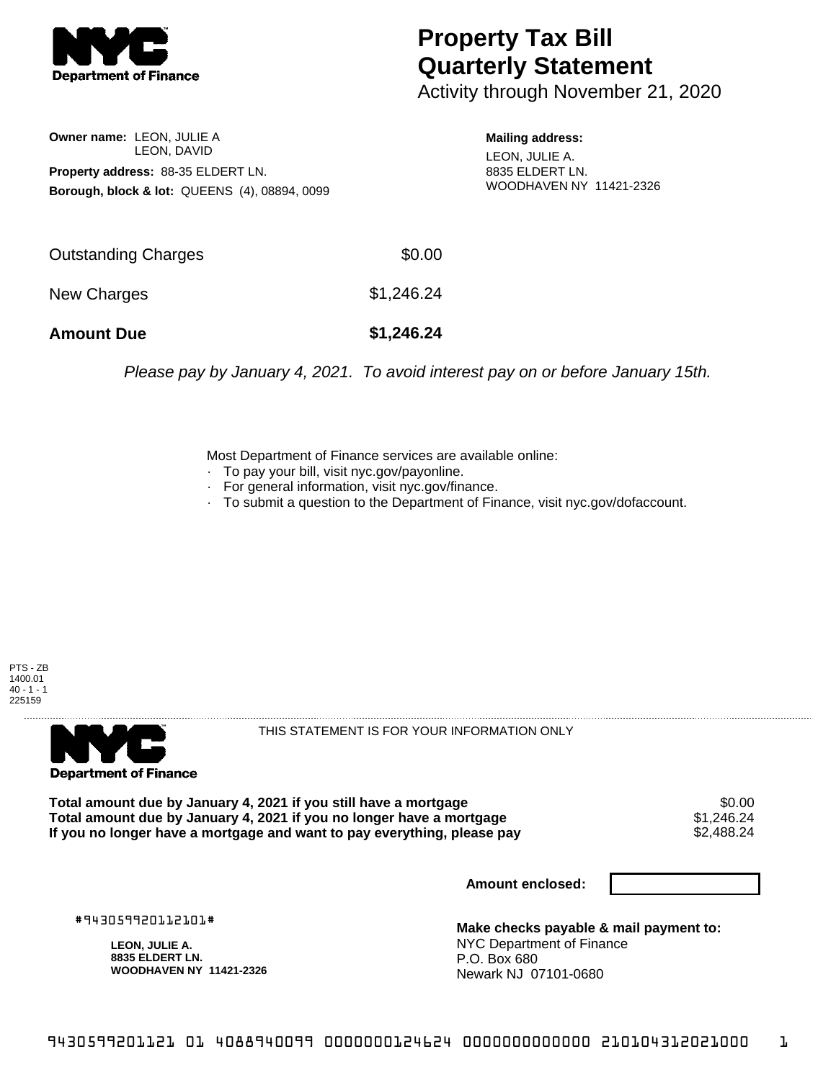

## **Property Tax Bill Quarterly Statement**

Activity through November 21, 2020

**Owner name:** LEON, JULIE A LEON, DAVID **Property address:** 88-35 ELDERT LN. **Borough, block & lot:** QUEENS (4), 08894, 0099 **Mailing address:** LEON, JULIE A. 8835 ELDERT LN. WOODHAVEN NY 11421-2326

| Outstanding Charges | \$0.00     |
|---------------------|------------|
| New Charges         | \$1,246.24 |
| <b>Amount Due</b>   | \$1,246.24 |

Please pay by January 4, 2021. To avoid interest pay on or before January 15th.

Most Department of Finance services are available online:

- · To pay your bill, visit nyc.gov/payonline.
- For general information, visit nyc.gov/finance.
- · To submit a question to the Department of Finance, visit nyc.gov/dofaccount.





THIS STATEMENT IS FOR YOUR INFORMATION ONLY

Total amount due by January 4, 2021 if you still have a mortgage \$0.00<br>Total amount due by January 4, 2021 if you no longer have a mortgage \$1.246.24 **Total amount due by January 4, 2021 if you no longer have a mortgage**  $$1,246.24$ **<br>If you no longer have a mortgage and want to pay everything, please pay**  $$2,488.24$ If you no longer have a mortgage and want to pay everything, please pay

**Amount enclosed:**

#943059920112101#

**LEON, JULIE A. 8835 ELDERT LN. WOODHAVEN NY 11421-2326**

**Make checks payable & mail payment to:** NYC Department of Finance P.O. Box 680 Newark NJ 07101-0680